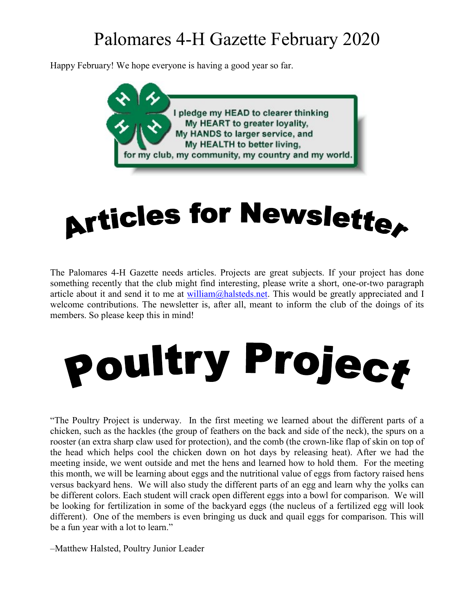## Palomares 4-H Gazette February 2020

Happy February! We hope everyone is having a good year so far.



## **Articles for Newslette,**

The Palomares 4-H Gazette needs articles. Projects are great subjects. If your project has done something recently that the club might find interesting, please write a short, one-or-two paragraph article about it and send it to me at  $\frac{\text{william}(a)$  halsteds.net. This would be greatly appreciated and I welcome contributions. The newsletter is, after all, meant to inform the club of the doings of its members. So please keep this in mind!



"The Poultry Project is underway. In the first meeting we learned about the different parts of a chicken, such as the hackles (the group of feathers on the back and side of the neck), the spurs on a rooster (an extra sharp claw used for protection), and the comb (the crown-like flap of skin on top of the head which helps cool the chicken down on hot days by releasing heat). After we had the meeting inside, we went outside and met the hens and learned how to hold them. For the meeting this month, we will be learning about eggs and the nutritional value of eggs from factory raised hens versus backyard hens. We will also study the different parts of an egg and learn why the yolks can be different colors. Each student will crack open different eggs into a bowl for comparison. We will be looking for fertilization in some of the backyard eggs (the nucleus of a fertilized egg will look different). One of the members is even bringing us duck and quail eggs for comparison. This will be a fun year with a lot to learn."

–Matthew Halsted, Poultry Junior Leader